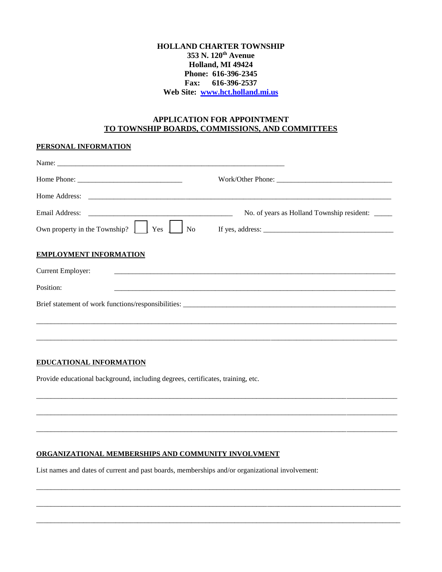## **HOLLAND CHARTER TOWNSHIP 353 N. 120th Avenue Holland, MI 49424 Phone: 616-396-2345 Fax: 616-396-2537 Web Site: [www.hct.holland.mi.us](http://www.hct.holland.mi.us/)**

# **APPLICATION FOR APPOINTMENT TO TOWNSHIP BOARDS, COMMISSIONS, AND COMMITTEES**

## **PERSONAL INFORMATION**

|                                                                                  | No. of years as Holland Township resident: ____ |
|----------------------------------------------------------------------------------|-------------------------------------------------|
| Own property in the Township? $\boxed{\phantom{a}}$ Yes $\boxed{\phantom{a}}$ No |                                                 |
| <b>EMPLOYMENT INFORMATION</b>                                                    |                                                 |
| Current Employer:                                                                |                                                 |
| Position:                                                                        |                                                 |
|                                                                                  |                                                 |
|                                                                                  |                                                 |
|                                                                                  |                                                 |

\_\_\_\_\_\_\_\_\_\_\_\_\_\_\_\_\_\_\_\_\_\_\_\_\_\_\_\_\_\_\_\_\_\_\_\_\_\_\_\_\_\_\_\_\_\_\_\_\_\_\_\_\_\_\_\_\_\_\_\_\_\_\_\_\_\_\_\_\_\_\_\_\_\_\_\_\_\_\_\_\_\_\_\_\_\_\_\_\_\_\_\_\_\_\_\_\_\_\_\_

\_\_\_\_\_\_\_\_\_\_\_\_\_\_\_\_\_\_\_\_\_\_\_\_\_\_\_\_\_\_\_\_\_\_\_\_\_\_\_\_\_\_\_\_\_\_\_\_\_\_\_\_\_\_\_\_\_\_\_\_\_\_\_\_\_\_\_\_\_\_\_\_\_\_\_\_\_\_\_\_\_\_\_\_\_\_\_\_\_\_\_\_\_\_\_\_\_\_\_\_

\_\_\_\_\_\_\_\_\_\_\_\_\_\_\_\_\_\_\_\_\_\_\_\_\_\_\_\_\_\_\_\_\_\_\_\_\_\_\_\_\_\_\_\_\_\_\_\_\_\_\_\_\_\_\_\_\_\_\_\_\_\_\_\_\_\_\_\_\_\_\_\_\_\_\_\_\_\_\_\_\_\_\_\_\_\_\_\_\_\_\_\_\_\_\_\_\_\_\_\_

\_\_\_\_\_\_\_\_\_\_\_\_\_\_\_\_\_\_\_\_\_\_\_\_\_\_\_\_\_\_\_\_\_\_\_\_\_\_\_\_\_\_\_\_\_\_\_\_\_\_\_\_\_\_\_\_\_\_\_\_\_\_\_\_\_\_\_\_\_\_\_\_\_\_\_\_\_\_\_\_\_\_\_\_\_\_\_\_\_\_\_\_\_\_\_\_\_\_\_\_

\_\_\_\_\_\_\_\_\_\_\_\_\_\_\_\_\_\_\_\_\_\_\_\_\_\_\_\_\_\_\_\_\_\_\_\_\_\_\_\_\_\_\_\_\_\_\_\_\_\_\_\_\_\_\_\_\_\_\_\_\_\_\_\_\_\_\_\_\_\_\_\_\_\_\_\_\_\_\_\_\_\_\_\_\_\_\_\_\_\_\_\_\_\_\_\_\_\_\_\_\_

\_\_\_\_\_\_\_\_\_\_\_\_\_\_\_\_\_\_\_\_\_\_\_\_\_\_\_\_\_\_\_\_\_\_\_\_\_\_\_\_\_\_\_\_\_\_\_\_\_\_\_\_\_\_\_\_\_\_\_\_\_\_\_\_\_\_\_\_\_\_\_\_\_\_\_\_\_\_\_\_\_\_\_\_\_\_\_\_\_\_\_\_\_\_\_\_\_\_\_\_\_

\_\_\_\_\_\_\_\_\_\_\_\_\_\_\_\_\_\_\_\_\_\_\_\_\_\_\_\_\_\_\_\_\_\_\_\_\_\_\_\_\_\_\_\_\_\_\_\_\_\_\_\_\_\_\_\_\_\_\_\_\_\_\_\_\_\_\_\_\_\_\_\_\_\_\_\_\_\_\_\_\_\_\_\_\_\_\_\_\_\_\_\_\_\_\_\_\_\_\_\_\_

## **EDUCATIONAL INFORMATION**

Provide educational background, including degrees, certificates, training, etc.

## **ORGANIZATIONAL MEMBERSHIPS AND COMMUNITY INVOLVMENT**

List names and dates of current and past boards, memberships and/or organizational involvement: